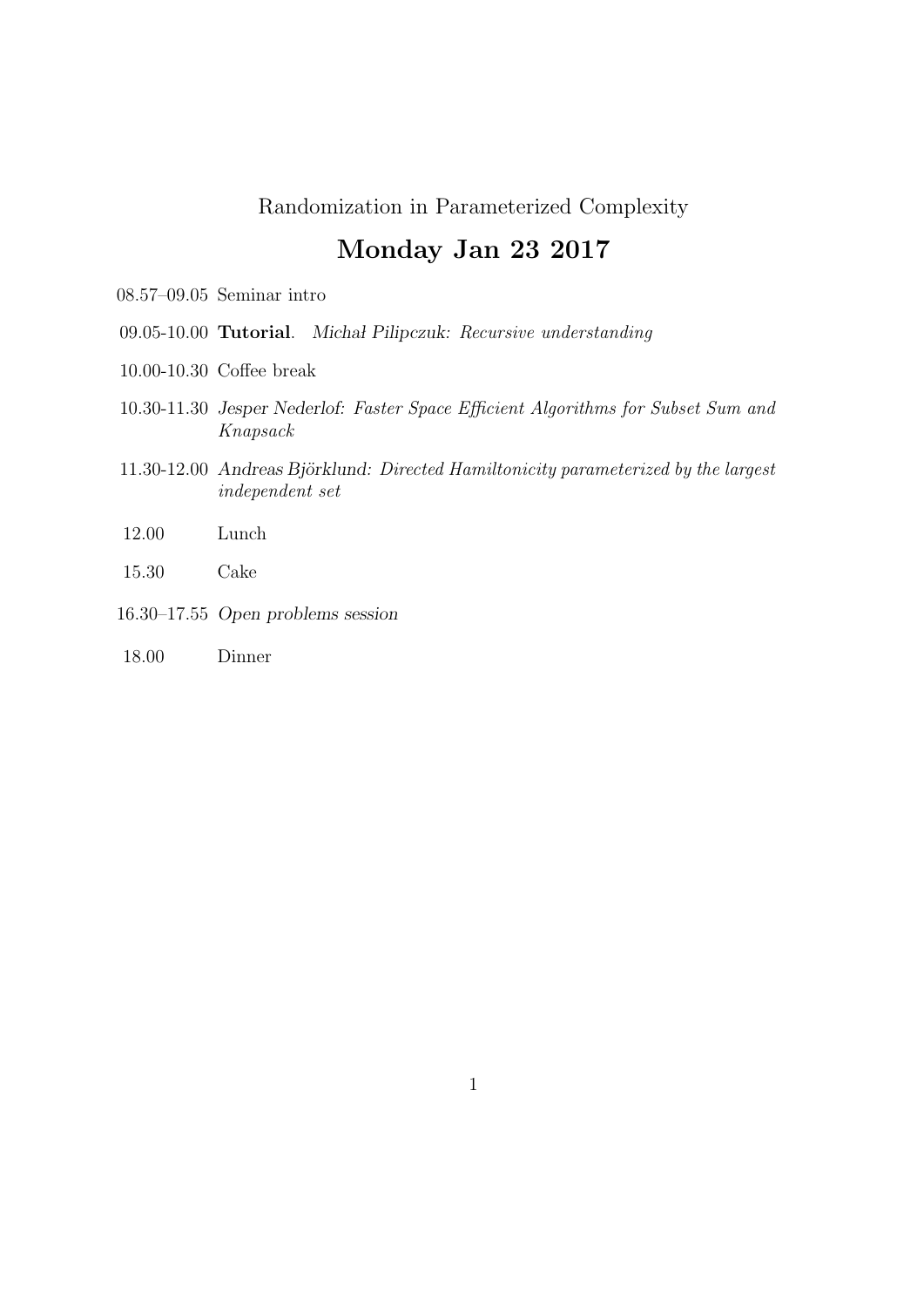# Monday Jan 23 2017

- 08.57–09.05 Seminar intro
- 09.05-10.00 Tutorial. Michal Pilipczuk: Recursive understanding
- 10.00-10.30 Coffee break
- 10.30-11.30 Jesper Nederlof: Faster Space Efficient Algorithms for Subset Sum and Knapsack
- 11.30-12.00 Andreas Björklund: Directed Hamiltonicity parameterized by the largest independent set
- 12.00 Lunch
- 15.30 Cake
- 16.30–17.55 Open problems session
- 18.00 Dinner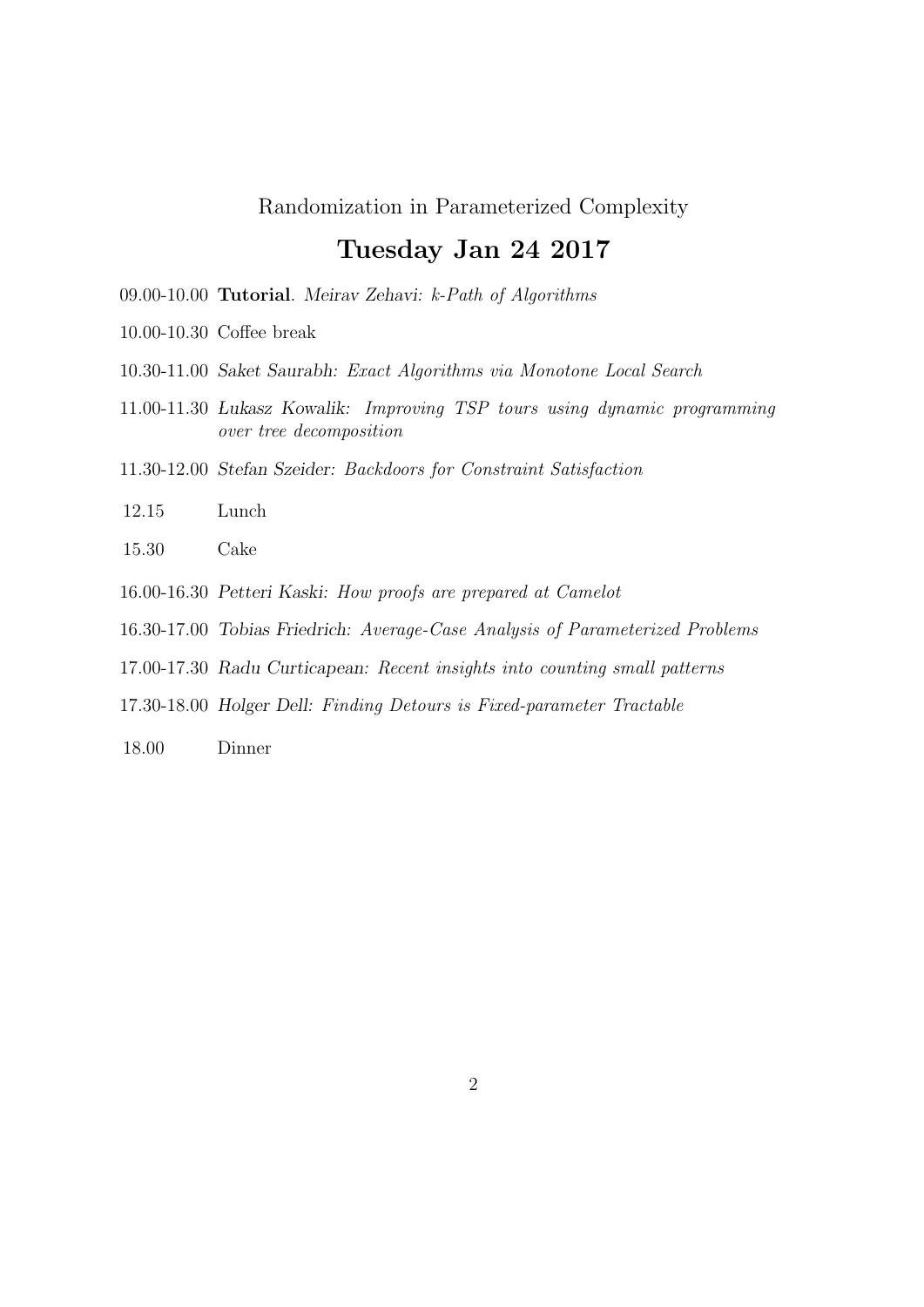### Tuesday Jan 24 2017

- 09.00-10.00 Tutorial. Meirav Zehavi: k-Path of Algorithms
- 10.00-10.30 Coffee break
- 10.30-11.00 Saket Saurabh: Exact Algorithms via Monotone Local Search
- 11.00-11.30 Lukasz Kowalik: Improving TSP tours using dynamic programming over tree decomposition
- 11.30-12.00 Stefan Szeider: Backdoors for Constraint Satisfaction
- 12.15 Lunch
- 15.30 Cake
- 16.00-16.30 Petteri Kaski: How proofs are prepared at Camelot
- 16.30-17.00 Tobias Friedrich: Average-Case Analysis of Parameterized Problems
- 17.00-17.30 Radu Curticapean: Recent insights into counting small patterns
- 17.30-18.00 Holger Dell: Finding Detours is Fixed-parameter Tractable
- 18.00 Dinner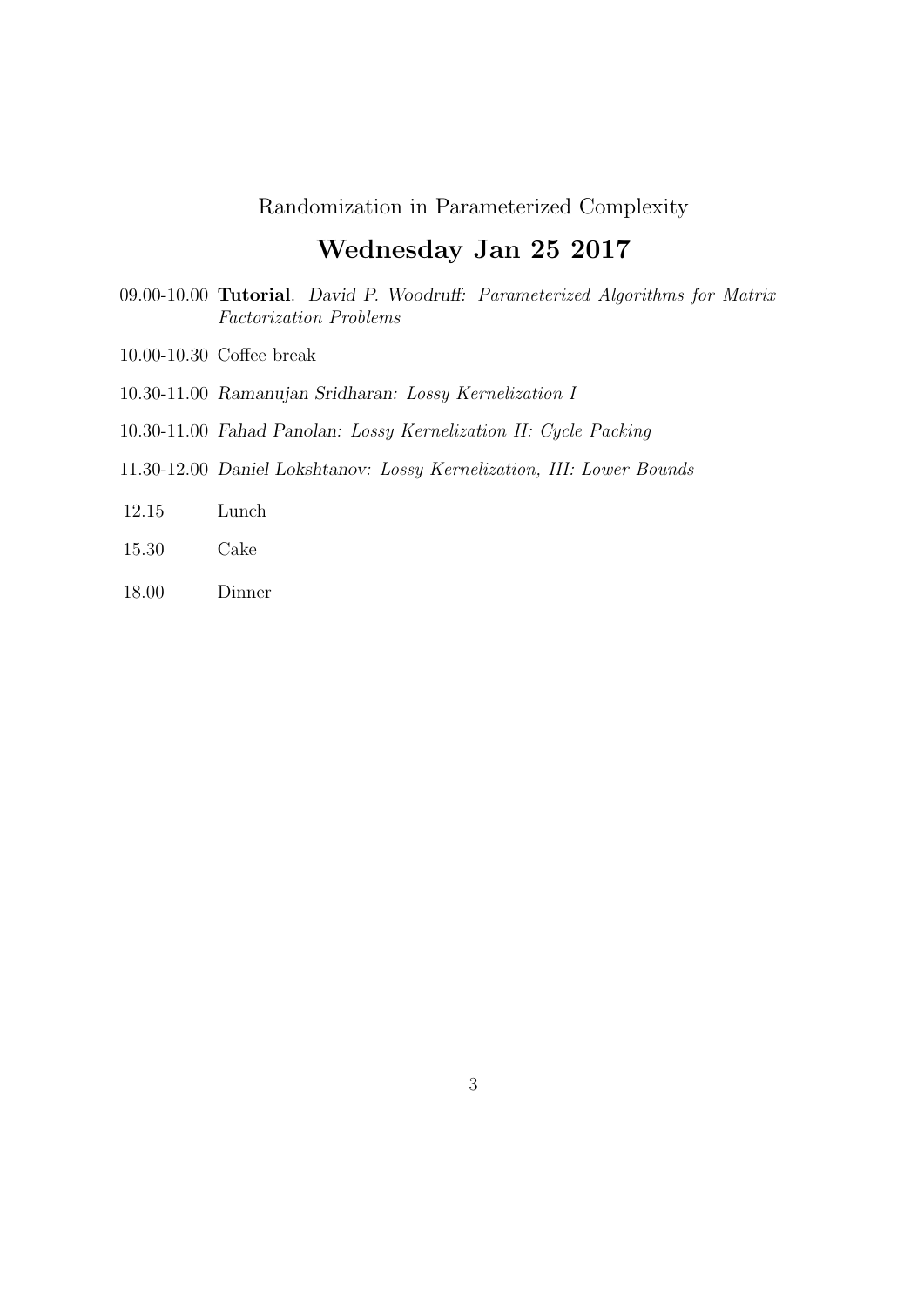## Wednesday Jan 25 2017

- 09.00-10.00 Tutorial. David P. Woodruff: Parameterized Algorithms for Matrix Factorization Problems
- 10.00-10.30 Coffee break
- 10.30-11.00 Ramanujan Sridharan: Lossy Kernelization I
- 10.30-11.00 Fahad Panolan: Lossy Kernelization II: Cycle Packing
- 11.30-12.00 Daniel Lokshtanov: Lossy Kernelization, III: Lower Bounds
- 12.15 Lunch
- 15.30 Cake
- 18.00 Dinner